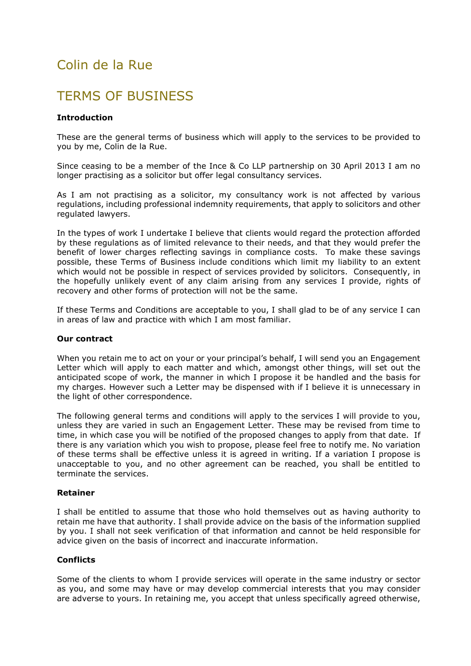# Colin de la Rue

# TERMS OF BUSINESS

# Introduction

These are the general terms of business which will apply to the services to be provided to you by me, Colin de la Rue.

Since ceasing to be a member of the Ince & Co LLP partnership on 30 April 2013 I am no longer practising as a solicitor but offer legal consultancy services.

As I am not practising as a solicitor, my consultancy work is not affected by various regulations, including professional indemnity requirements, that apply to solicitors and other regulated lawyers.

In the types of work I undertake I believe that clients would regard the protection afforded by these regulations as of limited relevance to their needs, and that they would prefer the benefit of lower charges reflecting savings in compliance costs. To make these savings possible, these Terms of Business include conditions which limit my liability to an extent which would not be possible in respect of services provided by solicitors. Consequently, in the hopefully unlikely event of any claim arising from any services I provide, rights of recovery and other forms of protection will not be the same.

If these Terms and Conditions are acceptable to you, I shall glad to be of any service I can in areas of law and practice with which I am most familiar.

# Our contract

When you retain me to act on your or your principal's behalf, I will send you an Engagement Letter which will apply to each matter and which, amongst other things, will set out the anticipated scope of work, the manner in which I propose it be handled and the basis for my charges. However such a Letter may be dispensed with if I believe it is unnecessary in the light of other correspondence.

The following general terms and conditions will apply to the services I will provide to you, unless they are varied in such an Engagement Letter. These may be revised from time to time, in which case you will be notified of the proposed changes to apply from that date. If there is any variation which you wish to propose, please feel free to notify me. No variation of these terms shall be effective unless it is agreed in writing. If a variation I propose is unacceptable to you, and no other agreement can be reached, you shall be entitled to terminate the services.

# Retainer

I shall be entitled to assume that those who hold themselves out as having authority to retain me have that authority. I shall provide advice on the basis of the information supplied by you. I shall not seek verification of that information and cannot be held responsible for advice given on the basis of incorrect and inaccurate information.

# **Conflicts**

Some of the clients to whom I provide services will operate in the same industry or sector as you, and some may have or may develop commercial interests that you may consider are adverse to yours. In retaining me, you accept that unless specifically agreed otherwise,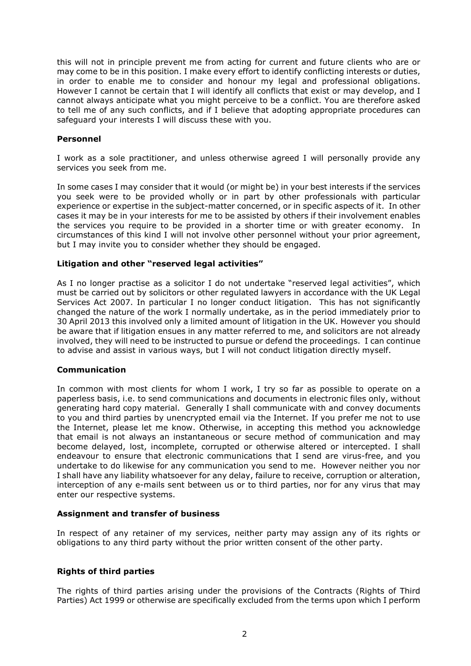this will not in principle prevent me from acting for current and future clients who are or may come to be in this position. I make every effort to identify conflicting interests or duties, in order to enable me to consider and honour my legal and professional obligations. However I cannot be certain that I will identify all conflicts that exist or may develop, and I cannot always anticipate what you might perceive to be a conflict. You are therefore asked to tell me of any such conflicts, and if I believe that adopting appropriate procedures can safeguard your interests I will discuss these with you.

# Personnel

I work as a sole practitioner, and unless otherwise agreed I will personally provide any services you seek from me.

In some cases I may consider that it would (or might be) in your best interests if the services you seek were to be provided wholly or in part by other professionals with particular experience or expertise in the subject-matter concerned, or in specific aspects of it. In other cases it may be in your interests for me to be assisted by others if their involvement enables the services you require to be provided in a shorter time or with greater economy. In circumstances of this kind I will not involve other personnel without your prior agreement, but I may invite you to consider whether they should be engaged.

# Litigation and other "reserved legal activities"

As I no longer practise as a solicitor I do not undertake "reserved legal activities", which must be carried out by solicitors or other regulated lawyers in accordance with the UK Legal Services Act 2007. In particular I no longer conduct litigation. This has not significantly changed the nature of the work I normally undertake, as in the period immediately prior to 30 April 2013 this involved only a limited amount of litigation in the UK. However you should be aware that if litigation ensues in any matter referred to me, and solicitors are not already involved, they will need to be instructed to pursue or defend the proceedings. I can continue to advise and assist in various ways, but I will not conduct litigation directly myself.

# Communication

In common with most clients for whom I work, I try so far as possible to operate on a paperless basis, i.e. to send communications and documents in electronic files only, without generating hard copy material. Generally I shall communicate with and convey documents to you and third parties by unencrypted email via the Internet. If you prefer me not to use the Internet, please let me know. Otherwise, in accepting this method you acknowledge that email is not always an instantaneous or secure method of communication and may become delayed, lost, incomplete, corrupted or otherwise altered or intercepted. I shall endeavour to ensure that electronic communications that I send are virus-free, and you undertake to do likewise for any communication you send to me. However neither you nor I shall have any liability whatsoever for any delay, failure to receive, corruption or alteration, interception of any e-mails sent between us or to third parties, nor for any virus that may enter our respective systems.

# Assignment and transfer of business

In respect of any retainer of my services, neither party may assign any of its rights or obligations to any third party without the prior written consent of the other party.

# Rights of third parties

The rights of third parties arising under the provisions of the Contracts (Rights of Third Parties) Act 1999 or otherwise are specifically excluded from the terms upon which I perform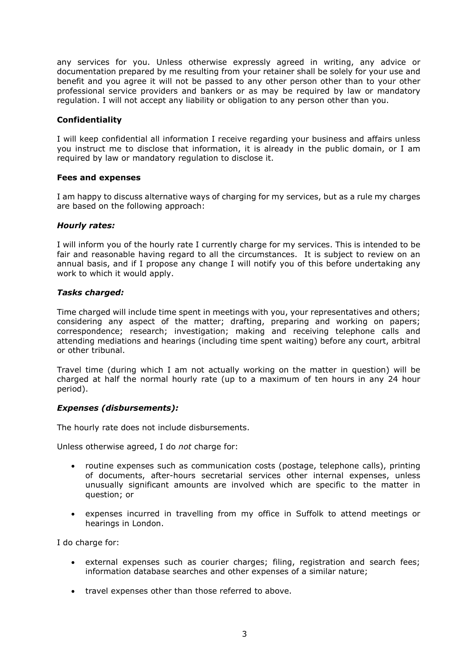any services for you. Unless otherwise expressly agreed in writing, any advice or documentation prepared by me resulting from your retainer shall be solely for your use and benefit and you agree it will not be passed to any other person other than to your other professional service providers and bankers or as may be required by law or mandatory regulation. I will not accept any liability or obligation to any person other than you.

# Confidentiality

I will keep confidential all information I receive regarding your business and affairs unless you instruct me to disclose that information, it is already in the public domain, or I am required by law or mandatory regulation to disclose it.

# Fees and expenses

I am happy to discuss alternative ways of charging for my services, but as a rule my charges are based on the following approach:

#### Hourly rates:

I will inform you of the hourly rate I currently charge for my services. This is intended to be fair and reasonable having regard to all the circumstances. It is subject to review on an annual basis, and if I propose any change I will notify you of this before undertaking any work to which it would apply.

# Tasks charged:

Time charged will include time spent in meetings with you, your representatives and others; considering any aspect of the matter; drafting, preparing and working on papers; correspondence; research; investigation; making and receiving telephone calls and attending mediations and hearings (including time spent waiting) before any court, arbitral or other tribunal.

Travel time (during which I am not actually working on the matter in question) will be charged at half the normal hourly rate (up to a maximum of ten hours in any 24 hour period).

# Expenses (disbursements):

The hourly rate does not include disbursements.

Unless otherwise agreed, I do not charge for:

- routine expenses such as communication costs (postage, telephone calls), printing of documents, after-hours secretarial services other internal expenses, unless unusually significant amounts are involved which are specific to the matter in question; or
- expenses incurred in travelling from my office in Suffolk to attend meetings or hearings in London.

I do charge for:

- external expenses such as courier charges; filing, registration and search fees; information database searches and other expenses of a similar nature;
- travel expenses other than those referred to above.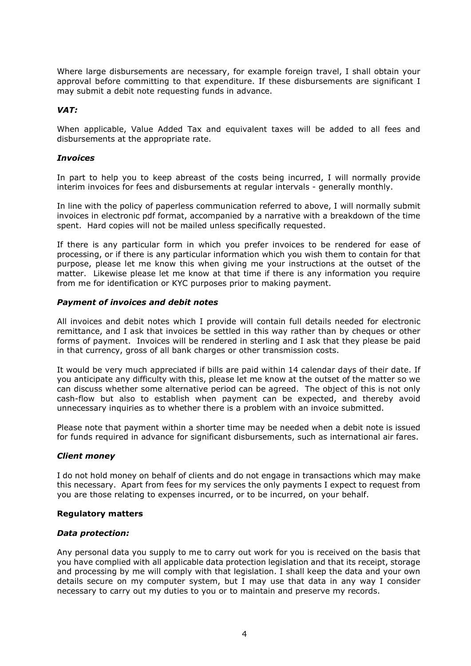Where large disbursements are necessary, for example foreign travel, I shall obtain your approval before committing to that expenditure. If these disbursements are significant I may submit a debit note requesting funds in advance.

# VAT:

When applicable, Value Added Tax and equivalent taxes will be added to all fees and disbursements at the appropriate rate.

# **Invoices**

In part to help you to keep abreast of the costs being incurred, I will normally provide interim invoices for fees and disbursements at regular intervals - generally monthly.

In line with the policy of paperless communication referred to above, I will normally submit invoices in electronic pdf format, accompanied by a narrative with a breakdown of the time spent. Hard copies will not be mailed unless specifically requested.

If there is any particular form in which you prefer invoices to be rendered for ease of processing, or if there is any particular information which you wish them to contain for that purpose, please let me know this when giving me your instructions at the outset of the matter. Likewise please let me know at that time if there is any information you require from me for identification or KYC purposes prior to making payment.

# Payment of invoices and debit notes

All invoices and debit notes which I provide will contain full details needed for electronic remittance, and I ask that invoices be settled in this way rather than by cheques or other forms of payment. Invoices will be rendered in sterling and I ask that they please be paid in that currency, gross of all bank charges or other transmission costs.

It would be very much appreciated if bills are paid within 14 calendar days of their date. If you anticipate any difficulty with this, please let me know at the outset of the matter so we can discuss whether some alternative period can be agreed. The object of this is not only cash-flow but also to establish when payment can be expected, and thereby avoid unnecessary inquiries as to whether there is a problem with an invoice submitted.

Please note that payment within a shorter time may be needed when a debit note is issued for funds required in advance for significant disbursements, such as international air fares.

# Client money

I do not hold money on behalf of clients and do not engage in transactions which may make this necessary. Apart from fees for my services the only payments I expect to request from you are those relating to expenses incurred, or to be incurred, on your behalf.

# Regulatory matters

# Data protection:

Any personal data you supply to me to carry out work for you is received on the basis that you have complied with all applicable data protection legislation and that its receipt, storage and processing by me will comply with that legislation. I shall keep the data and your own details secure on my computer system, but I may use that data in any way I consider necessary to carry out my duties to you or to maintain and preserve my records.